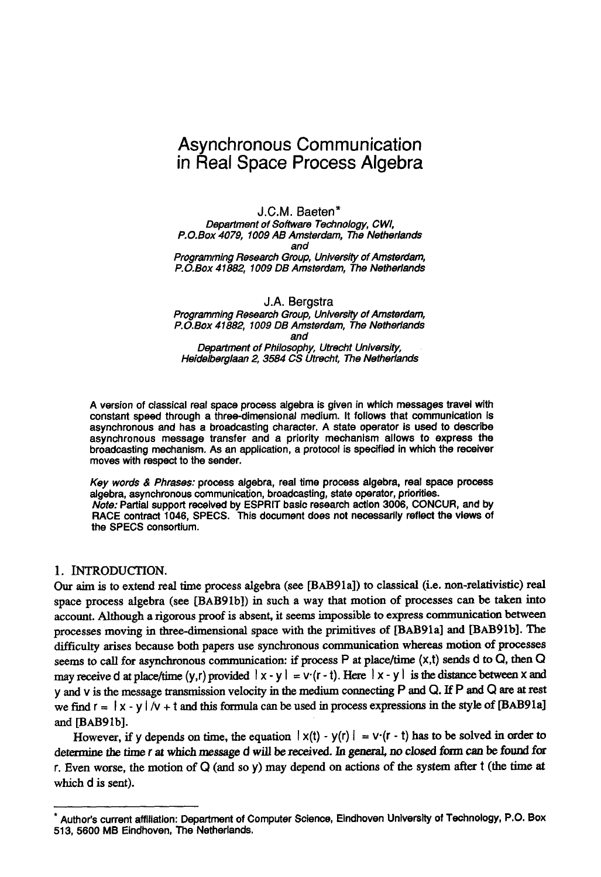# **Asynchronous Communication in Real Space Process Algebra**

J.C.M. Baeten\* *Department of Software Technology, CWl, P.O.Box 4079, 1009 AB Amsterdam, The Netherlands and Programming Research Group, University of Amsterdam, P.O.Box 41882, 1009 DB Amsterdam, The Netherlands* 

J.A. Bergstra *Programming Research Group, University of Amsterdam, P.O.Box 41882, 1009 DB Amsterdam, The Netherlands and Department of Philosophy, Utrecht University, Heidelberglaan 2, 3584 CS Utrecht, The Netherlands* 

A version of classical real space process algebra is given in which messages travel with constant speed through a three-dimensional medium. It follows that communication is asynchronous and has a broadcasting character. A state operator is used to describe asynchronous message transfer and a priority mechanism allows to express the broadcasting mechanism. As an application, a protocol is specified in which the receiver moves with respect to the sender.

*Key words & Phrases:* process algebra, real time process algebra, real space process algebra, asynchronous communication, broadcasting, state operator, priorities. *Note:* Partial support received by ESPRIT basic rasearch action 3006, CONCUR, and by RACE contract 1046, SPECS. This document does not necessarily reflect the views of the SPECS consortium.

### 1. INTRODUCTION.

Our aim is to extend real time process algebra (see [BAB91a]) to classical (i.e. non-relativistic) real space process algebra (see [BAB91b]) in such a way that motion of processes can be taken into account. Although a rigorous proof is absent, it seems impossible to express communication between processes moving in three-dimensional space with the primitives of [BAB91a] and [BAB91b]. The difficulty arises because both papers use synchronous communication whereas motion of processes seems to call for asynchronous communication: if process  $P$  at place/time  $(x,t)$  sends d to  $Q$ , then  $Q$ may receive d at place/time (y,r) provided  $|x-y| = v(r-t)$ . Here  $|x-y|$  is the distance between x and y and v is the message transmission velocity in the medium connecting P and Q. If P and Q are at rest we find  $r = |x - y|/v + t$  and this formula can be used in process expressions in the style of [BAB91a] and [BAB91b].

However, if y depends on time, the equation  $|x(t) - y(r)| = v(r - t)$  has to be solved in order to determine the time r at which message d will be received. In general, no closed form can be found for r. Even worse, the motion of Q (and so y) may depend on actions of the system after t (the time at which d is sent).

Author's current affiliation: Department of Computer Science, Eindhoven University of Technology, P.O. Box 513, 5600 MB Eindhoven, The Netherlands.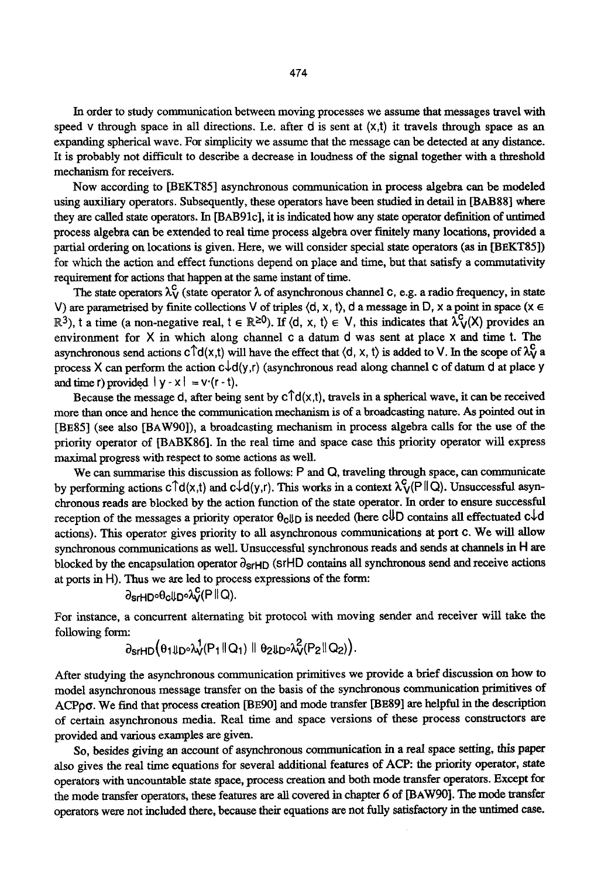In order to study communication between moving processes we assume that messages travel with speed v through space in all directions. I.e. after d is sent at  $(x,t)$  it travels through space as an expanding spherical wave. For simplicity we assume that the message can be detected at any distance. It is probably not difficult to describe a decrease in loudness of the signal together with a threshold mechanism for receivers.

Now according to [BEKT85] asynchronous communication in process algebra can be modeled using auxiliary operators. Subsequently, these operators have been studied in detail in [BAB88] where they are called state operators. In [BAB91c], it is indicated how any state operator definition of untimed process algebra can be extended to real time process algebra over finitely many locations, provided a partial ordering on locations is given. Here, we will consider special state operators (as in [BEKT85]) for which the action and effect functions depend on place and time, but that satisfy a commutativity requirement for actions that happen at the same instant of time.

The state operators  $\lambda_V^c$  (state operator  $\lambda$  of asynchronous channel c, e.g. a radio frequency, in state V) are parametrised by finite collections V of triples  $(d, x, t)$ , d a message in D, x a point in space  $(x \in$  $\mathbb{R}^3$ ), t a time (a non-negative real,  $t \in \mathbb{R}^{\geq 0}$ ). If  $\langle d, x, t \rangle \in V$ , this indicates that  $\lambda_V^C(X)$  provides an environment for  $X$  in which along channel c a datum  $d$  was sent at place  $x$  and time t. The asynchronous send actions  $c \hat{d}(x,t)$  will have the effect that  $\langle d, x, t \rangle$  is added to V. In the scope of  $\lambda_v^C$  a process X can perform the action  $c\downarrow d(y,r)$  (asynchronous read along channel c of datum d at place y and time r) provided  $|y - x| = v(r - t)$ .

Because the message d, after being sent by  $c\hat{d}(x,t)$ , travels in a spherical wave, it can be received more than once and hence the communication mechanism is of a broadcasting nature. As pointed out in [BE85] (see also [BAW90]), a broadcasting mechanism in process algebra calls for the use of the priority operator of [BABK86]. In the real time and space case this priority operator will express maximal progress with respect to some actions as well.

We can summarise this discussion as follows: P and Q, traveling through space, can communicate by performing actions  $c \hat{\dagger} d(x,t)$  and  $c \hat{\dagger} d(y,t)$ . This works in a context  $\lambda_V^c(P \hat{\dagger} Q)$ . Unsuccessful asynchronous reads are blocked by the action function of the state operator. In order to ensure successful reception of the messages a priority operator  $\theta_c \parallel p$  is needed (here  $c \parallel D$  contains all effectuated  $c \downarrow d$ actions). This operator gives priority to all asynchronous communications at port c. We will allow synchronous communications as well. Unsuccessful synchronous reads and sends at channels in H are blocked by the encapsulation operator  $\partial_{\text{srHD}}$  (srHD contains all synchronous send and receive actions at ports in H). Thus we are led to process expressions of the form:

$$
\partial_{\text{srHD}} \partial_{\text{clID}} \partial_{\text{V}}^{\text{C}}(P \| Q)
$$
.

For instance, a concurrent alternating bit protocol with moving sender and receiver will take the following form:

$$
\partial_{\text{SrHD}}(\theta_1\text{Tr}\mathcal{N}_1(P_1\text{d}Q_1)\text{d}\theta_2\text{Tr}\mathcal{N}_2(P_2\text{d}Q_2)).
$$

After studying the asynchronous communication primitives we provide a brief discussion on how to model asynchronous message transfer on the basis of the synchronous communication primitives of ACPpo. We find that process creation [BE90] and mode transfer [BE89] are helpful in the description of certain asynchronous media. Real time and space versions of these process constructors are provided and various examples are given.

So, besides giving an account of asynchronous communication in a real space setting, this paper also gives the real time equations for several additional features of ACP: the priority operator, state operators with uncountable state space, process creation and both mode transfer operators. Except for the mode transfer operators, these features are all covered in chapter 6 of [BAW90]. The mode transfer operators were not included there, because their equations are not fully satisfactory in the untimed case.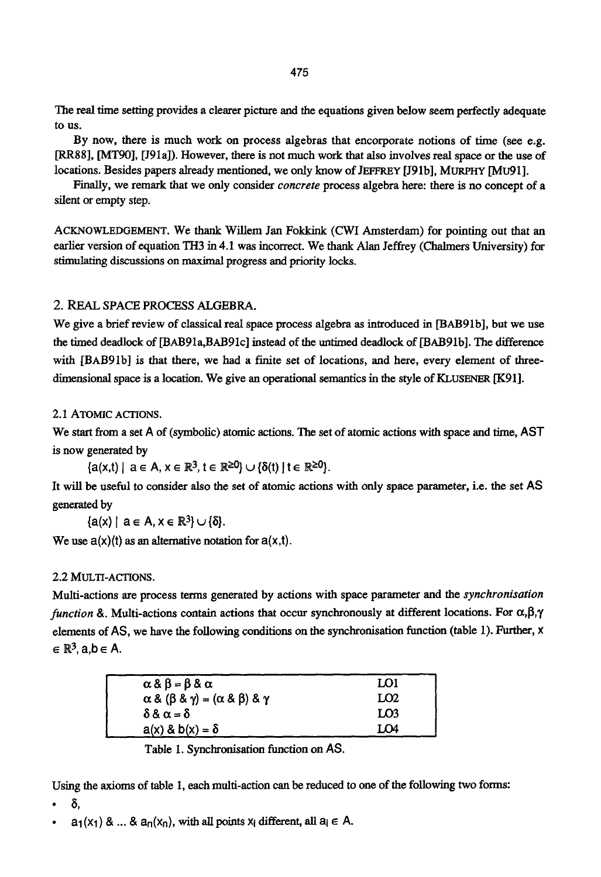The real time setting provides a clearer picture and the equations given below seem perfectly adequate to us.

By now, there is much work on process algebras that encorporate notions of time (see e.g. [RR88], [MT90], [I91a]). However, there is not much work that also involves real space or the use of locations. Besides papers already mentioned, we only know of JEFFREY [J91b], MURPHY [MU91].

Finally, we remark that we only consider *concrete* process algebra here: there is no concept of a silent or empty step.

ACKNOWLEDGEMENT. We thank Willem Jan Fokkink (CWI Amsterdam) for pointing out that an earlier version of equation TH3 in 4.1 was incorrect. We thank Alan Jeffrey (Chalmers University) for stimulating discussions on maximal progress and priority locks.

# 2. REAL SPACE PROCESS ALGEBRA.

We give a brief review of classical real space process algebra as introduced in [BAB91b], but we use the timed deadlock of [BAB91a, BAB91c] instead of the untirned deadlock of [BAB91b]. The difference with [BAB91b] is that there, we had a finite set of locations, and here, every element of threedimensional space is a location. We give an operational semantics in the style of KLUSENER [K91].

# 2.1 ATOMIC ACTIONS.

We start from a set A of (symbolic) atomic actions. The set of atomic actions with space and time, AST is now generated by

 ${a(x,t)}$  |  $a \in A$ ,  $x \in \mathbb{R}^3$ ,  $t \in \mathbb{R}^{\geq 0}$ }  $\cup {a(t)}$  |  $t \in \mathbb{R}^{\geq 0}$ }.

It will be useful to consider also the set of atomic actions with only space parameter, i.e. the set AS generated by

 ${a(x) \mid a \in A, x \in \mathbb{R}^3} \cup { \delta }.$ 

We use  $a(x)(t)$  as an alternative notation for  $a(x,t)$ .

### 2.2 MULTI-ACTIONS.

Multi-actions are process terms generated by actions with space parameter and the *synchronisation function 8. Multi-actions contain actions that occur synchronously at different locations. For*  $\alpha, \beta, \gamma$ elements of AS, we have the following conditions on the synchronisation function (table 1). Further, x  $\in \mathbb{R}^3$ , a,  $b \in A$ .

| $\alpha \& \beta = \beta \& \alpha$                             | LO1             |
|-----------------------------------------------------------------|-----------------|
| $\alpha$ & $(\beta$ & $\gamma) = (\alpha$ & $\beta)$ & $\gamma$ | LO <sub>2</sub> |
| $\delta \& \alpha = \delta$                                     | LO <sub>3</sub> |
| $a(x)$ & $b(x) = \delta$                                        | LO4             |
|                                                                 |                 |

Table 1. Synchronisation function on AS.

Using the axioms of table 1, each multi-action can be reduced to one of the following two forms:

- $\delta$ .
- $a_1(x_1)$  & ... &  $a_n(x_n)$ , with all points  $x_i$  different, all  $a_i \in A$ .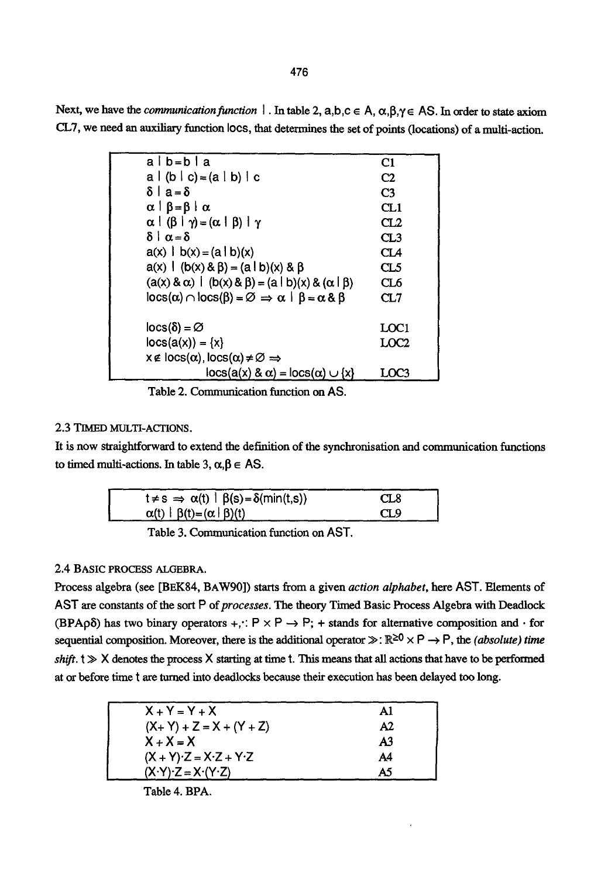476

Next, we have the *communication function*  $|\cdot|$ . In table 2, a,b,c  $\in A$ ,  $\alpha, \beta, \gamma \in AS$ . In order to state axiom CLT, we need an auxiliary function Iocs, that determines the set of points (locations) of a multi-action.

| alb=bla                                                                                     | C1               |
|---------------------------------------------------------------------------------------------|------------------|
| $a   (b   c) = (a   b)   c$                                                                 | C <sub>2</sub>   |
| $δ a = δ$                                                                                   | C <sub>3</sub>   |
| $\alpha$   $\beta = \beta$   $\alpha$                                                       | CL1              |
| $\alpha$   $(\beta$   $\gamma$ ) = $(\alpha$   $\beta$ )   $\gamma$                         | CL2              |
| $\delta$   α = δ                                                                            | CL3              |
| $a(x)$   b(x) = $(a   b)$ (x)                                                               | CL4              |
| $a(x)$   $(b(x) & B) = (a \mid b)(x) & B$                                                   | CL5              |
| $(a(x) & \alpha) \mid (b(x) & \beta) = (a \mid b)(x) & (\alpha \mid \beta)$                 | CL6              |
| $\cos(\alpha) \cap \cos(\beta) = \emptyset \Rightarrow \alpha \mid \beta = \alpha \& \beta$ | CL7              |
|                                                                                             |                  |
| $ occ(\delta)  = \varnothing$                                                               | LOC1             |
| $\text{locs}(a(x)) = \{x\}$                                                                 | LOC <sub>2</sub> |
| $x \notin \text{locs}(\alpha)$ , $\text{locs}(\alpha) \neq \emptyset \Rightarrow$           |                  |
| $\cos(a(x) \& \alpha) = \cos(\alpha) \cup \{x\}$                                            | LOC3             |

Table 2. Communication function on AS.

# 2.3 TIMED MULTI-ACTIONS.

It is now straightforward to extend the definition of the synchronisation and communication functions to timed multi-actions. In table 3,  $\alpha, \beta \in AS$ .

| $t \neq s \implies \alpha(t) \mid \beta(s) = \delta(\min(t,s))$ | CL8 |
|-----------------------------------------------------------------|-----|
| $\alpha(t)$   $\beta(t) = (\alpha   \beta)(t)$                  | CL9 |

Table 3. Communication function on AST.

# 2.4 BASIC PROCESS ALGEBRA.

Process algebra (see [BEK84, BAW90]) starts from a given *action alphabet,* here AST. Elements of AST are constants of the sort P of processes. The theory Timed Basic Process Algebra with Deadlock  $(BPA\rho\delta)$  has two binary operators +, $\therefore$  P  $\times$  P  $\rightarrow$  P; + stands for alternative composition and  $\cdot$  for sequential composition. Moreover, there is the additional operator  $\gg : \mathbb{R}^{\geq 0} \times P \to P$ , the *(absolute) time shift.*  $t \gg X$  denotes the process X starting at time t. This means that all actions that have to be performed at or before time t are turned into deadlocks because their execution has been delayed too long.

| $X + Y = Y + X$             | A1 |
|-----------------------------|----|
| $(X + Y) + Z = X + (Y + Z)$ | A2 |
| $X + X = X$                 | A3 |
| $(X + Y)Z = XZ + YZ$        | A4 |
| $(X-Y)Z = X'(Y-Z)$          | A5 |
|                             |    |

Table 4. BPA.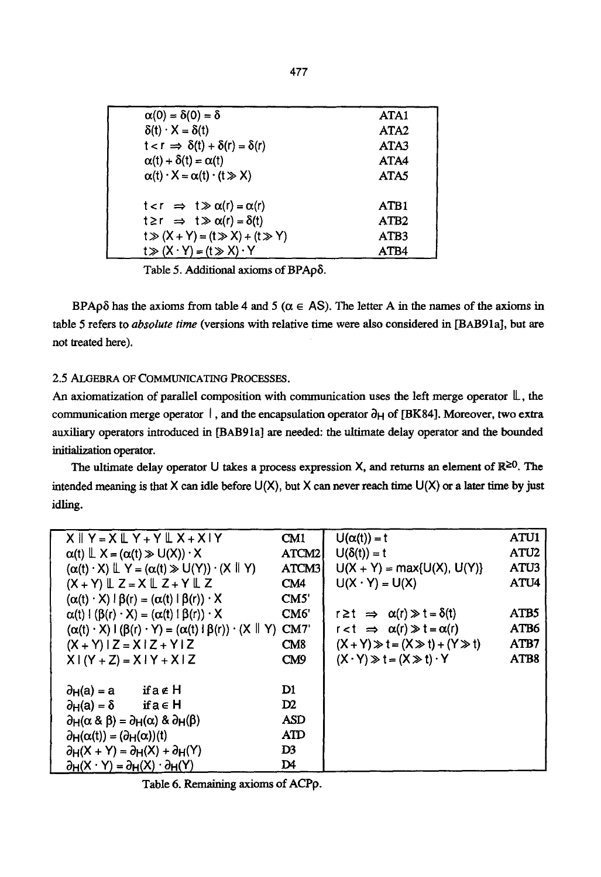Table 5. Additional axioms of *BPApδ*.

BPAp $\delta$  has the axioms from table 4 and 5 ( $\alpha \in AS$ ). The letter A in the names of the axioms in table 5 refers to *absolute time* (versions with relative time were also considered in [BAB91a], but are not treated here).

# 2.5 ALGEBRA OF COMMUNICATING PROCESSES.

An axiomatization of parallel composition with communication uses the left merge operator  $\mathbb{L}$ , the communication merge operator  $\vert$ , and the encapsulation operator  $\partial_H$  of [BK84]. Moreover, two extra auxiliary operators introduced in [BAB91a] are needed: the ultimate delay operator and the bounded initialization operator.

The ultimate delay operator U takes a process expression X, and returns an element of  $\mathbb{R}^{\geq 0}$ . The intended meaning is that X can idle before  $U(X)$ , but X can never reach time  $U(X)$  or a later time by just idling.

|                                                                         | $X \parallel Y = X \parallel Y + Y \parallel X + X \parallel Y$                                   | CM1            | $U(\alpha(t)) = t$                                 | <b>ATU1</b>      |
|-------------------------------------------------------------------------|---------------------------------------------------------------------------------------------------|----------------|----------------------------------------------------|------------------|
| $\alpha(t) \perp X = (\alpha(t) \gg U(X)) \cdot X$                      |                                                                                                   | ATCM2          | $U(\delta(t)) = t$                                 | ATU <sub>2</sub> |
|                                                                         | $(\alpha(t) \cdot X) \perp Y = (\alpha(t) \gg U(Y)) \cdot (X \parallel Y)$                        | ATCM3          | $U(X + Y) = max{U(X), U(Y)}$                       | ATU3             |
|                                                                         | $(X + Y) \mathbb{L} Z = X \mathbb{L} Z + Y \mathbb{L} Z$                                          | CM4            | $U(X \cdot Y) = U(X)$                              | ATU <sub>4</sub> |
|                                                                         | $(\alpha(t) \cdot X) \mid \beta(r) = (\alpha(t) \mid \beta(r)) \cdot X$                           | CM5'           |                                                    |                  |
|                                                                         | $\alpha(t)$ { $(\beta(r) \cdot X) = (\alpha(t) \mid \beta(r)) \cdot X$                            | CM6'           | $r \geq t \Rightarrow \alpha(r) \gg t = \delta(t)$ | ATB5             |
|                                                                         | $(\alpha(t) \cdot X) \cdot (\beta(t) \cdot Y) = (\alpha(t) \cdot \beta(t)) \cdot (X \parallel Y)$ | CM7            | $r < t \Rightarrow \alpha(r) \gg t = \alpha(r)$    | ATB6             |
| $(X + Y)$ $Z = X$ $Z + Y$ $Z$                                           |                                                                                                   | CM8            | $(X + Y) \gg t = (X \gg t) + (Y \gg t)$            | ATB7             |
| $X (Y + Z) = X (Y + X) Z$                                               |                                                                                                   | CM9            | $(X \cdot Y) \gg t = (X \gg t) \cdot Y$            | ATB8             |
|                                                                         |                                                                                                   |                |                                                    |                  |
| $\partial_H(a) = a$                                                     | ifa∉H                                                                                             | D1             |                                                    |                  |
| $\partial_H(a) = \delta$ if $a \in H$                                   |                                                                                                   | $\mathbf{D}2$  |                                                    |                  |
| $\partial_H(\alpha \& \beta) = \partial_H(\alpha) \& \partial_H(\beta)$ |                                                                                                   | ASD            |                                                    |                  |
| $\partial_H(\alpha(t)) = (\partial_H(\alpha))(t)$                       |                                                                                                   | <b>ATD</b>     |                                                    |                  |
| $\partial_H(X + Y) = \partial_H(X) + \partial_H(Y)$                     |                                                                                                   | D <sub>3</sub> |                                                    |                  |
| $\partial_H(X \cdot Y) = \partial_H(X) \cdot \partial_H(Y)$             |                                                                                                   | D4             |                                                    |                  |

Table 6. Remaining axioms of ACPp.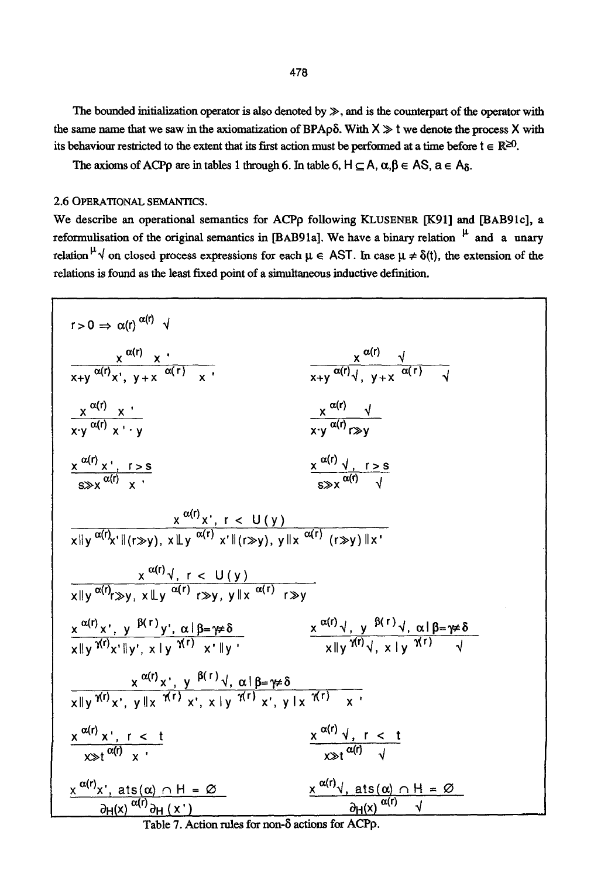478

The bounded initialization operator is also denoted by  $\gg$ , and is the counterpart of the operator with the same name that we saw in the axiomatization of BPAp $\delta$ . With  $X \gg t$  we denote the process X with its behaviour restricted to the extent that its first action must be performed at a time before  $t \in \mathbb{R}^{\geq 0}$ .

The axioms of ACPp are in tables 1 through 6. In table 6,  $H \subseteq A$ ,  $\alpha, \beta \in AS$ ,  $a \in A_{\delta}$ .

2.6 OPERATIONAL SEMANTICS.

We describe an operational semantics for ACPp following KLUSENER [K91] and [BAB91c], a reformulisation of the original semantics in [BAB91a]. We have a binary relation  $\mu$  and a unary relation  $^{\mu}$   $\sqrt{ }$  on closed process expressions for each  $\mu \in$  AST. In case  $\mu \neq \delta(t)$ , the extension of the relations is found as the least fixed point of a simultaneous inductive definition.



Table 7. Action rules for non- $\delta$  actions for ACPp.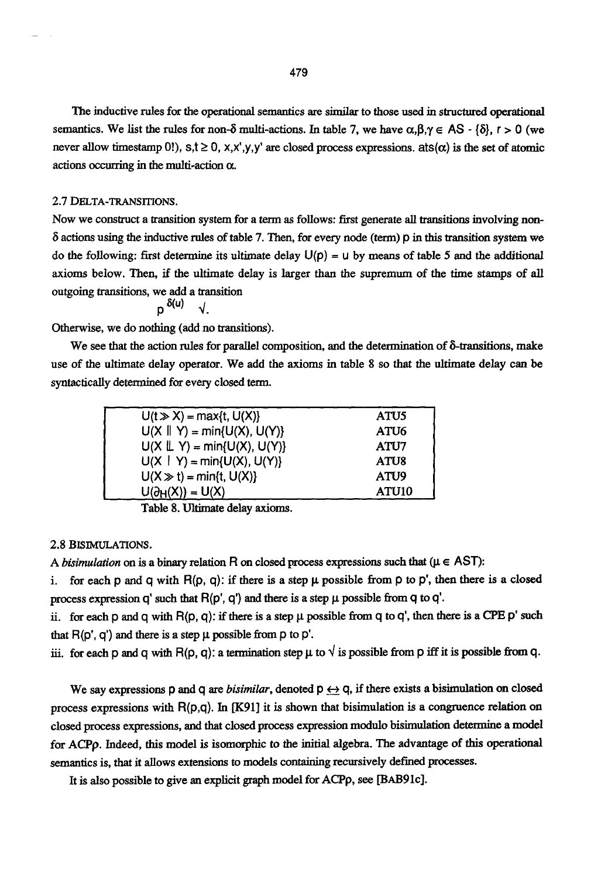The inductive rules for the operational semantics are similar to those used in structured operational semantics. We list the rules for non- $\delta$  multi-actions. In table 7, we have  $\alpha, \beta, \gamma \in AS$  -  $\{\delta\}, r > 0$  (we never allow timestamp 0!),  $s,t \ge 0$ ,  $x,x',y,y'$  are closed process expressions, ats( $\alpha$ ) is the set of atomic actions occurring in the multi-action  $\alpha$ .

#### 2.7 DELTA-TRANSITIONS.

Now we construct a transition system for a term as follows: first generate all transitions involving non- $\delta$  actions using the inductive rules of table 7. Then, for every node (term)  $\rho$  in this transition system we do the following: first determine its ultimate delay  $U(p) = u$  by means of table 5 and the additional axioms below. Then, if the ultimate delay is larger than the supremum of the time stamps of all outgoing transitions, we add a transition

$$
p^{\delta(u)} \quad \sqrt{2}
$$

Otherwise, we do nothing (add no transitions).

We see that the action rules for parallel composition, and the determination of  $\delta$ -transitions, make use of the ultimate delay operator. We add the axioms in table 8 so that the ultimate delay can be syntactically determined for every closed term.

| $U(t \gg X) = max\{t, U(X)\}\$       | ATU5              |
|--------------------------------------|-------------------|
| $U(X \parallel Y) = min{U(X), U(Y)}$ | ATU6              |
| $U(X \perp Y) = min\{U(X), U(Y)\}\$  | ATU7              |
| $U(X   Y) = min{U(X), U(Y)}$         | ATU8              |
| $U(X \gg t) = min\{t, U(X)\}\$       | ATU <sub>9</sub>  |
| $U(\partial_H(X)) = U(X)$            | ATU <sub>10</sub> |

Table 8. Ultimate delay axioms.

### 2.8 BISIMULATIONS.

A *bisimulation* on is a binary relation R on closed process expressions such that ( $\mu \in AST$ ):

i. for each p and q with  $R(p, q)$ : if there is a step  $\mu$  possible from p to p', then there is a closed process expression q' such that  $R(p', q')$  and there is a step  $\mu$  possible from q to q'.

ii. for each p and q with  $R(p, q)$ : if there is a step  $\mu$  possible from q to q', then there is a CPE p' such that  $R(p', q')$  and there is a step  $\mu$  possible from p to p'.

iii. for each p and q with R(p, q): a termination step  $\mu$  to  $\sqrt{ }$  is possible from p iff it is possible from q.

We say expressions p and q are *bisimilar*, denoted  $p \leftrightarrow q$ , if there exists a bisimulation on closed process expressions with  $R(p,q)$ . In  $[K91]$  it is shown that bisimulation is a congruence relation on closed process expressions, and that closed process expression modulo bisimulation determine a model for ACPp. Indeed, this model is isomorphic to the initial algebra. The advantage of this operational semantics is, that it allows extensions to models containing recursively defined processes.

It is also possible to give an explicit graph model for ACPp, see [BAB91c].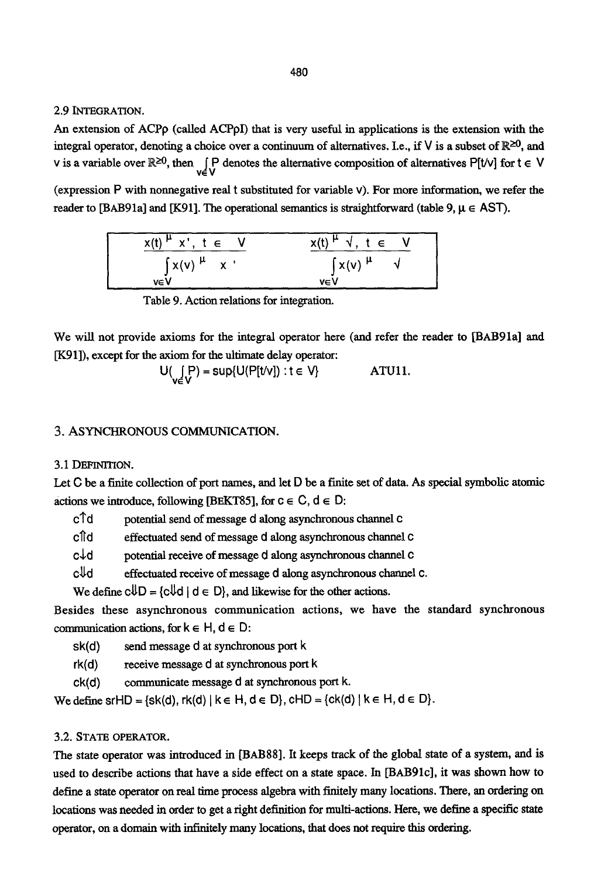2.9 INTEGRATION.

An extension of ACPp (called ACPpI) that is very useful in applications is the extension with the integral operator, denoting a choice over a continuum of alternatives. I.e., if V is a subset of  $\mathbb{R}^{\geq 0}$ , and v is a variable over  $\mathbb{R}^{\geq 0}$ , then  $\bigcup_{v \in V} P$  denotes the alternative composition of alternatives P[t/v] for t  $\in V$ 

(expression P with nonnegative real t substituted for variable v). For more information, we refer the reader to [BAB91a] and [K91]. The operational semantics is straightforward (table 9,  $\mu \in$  AST).

| $x(t)$ <sup><math>\mu</math></sup> $x$ <sup>t</sup> , $t \in V$ | $x(t)$ <sup><math>\mu</math></sup> $\sqrt{,} t \in V$ |
|-----------------------------------------------------------------|-------------------------------------------------------|
| $\int x(v) \mu x$                                               | $\int x(v) \mu \sqrt{v}$                              |
| veV                                                             | veV                                                   |

Table 9. Action relations for integration.

We will not provide axioms for the integral operator here (and refer the reader to [BAB91a] and [K91]), except for the axiom for the ultimate delay operator:

$$
U(\iint_{V \in V} P) = \sup\{U(P[t/v]) : t \in V\}
$$

### 3. ASYNCHRONOUS COMMUNICATION.

# 3.1 DEFINITION.

Let C be a finite collection of port names, and let D be a finite set of data. As special symbolic atomic actions we introduce, following [BEKT85], for  $c \in C$ ,  $d \in D$ ;

c<sup>1</sup>d potential send of message d along asynchronous channel c

cl[d effectuated send of message d along asynchronous channel C

 $c \nightharpoonup d$  potential receive of message d along asynchronous channel  $c$ 

 $c\mathcal{H}d$  effectuated receive of message d along asynchronous channel c.

We define  $c\mathbb{U}D = \{c\mathbb{U}d \mid d \in D\}$ , and likewise for the other actions.

Besides these asynchronous communication actions, we have the standard synchronous communication actions, for  $k \in H$ ,  $d \in D$ :

- sk(d) send message d at synchronous port k
- rk(d) receive message d at synchronous port k
- ck(d) communicate message d at synchronous port k.

We define srHD = {sk(d), rk(d) |  $k \in H$ ,  $d \in D$ }, cHD = {ck(d) |  $k \in H$ ,  $d \in D$ }.

# 3.2. STATE OPERATOR.

The state operator was introduced in [BAB88]. It keeps track of the global state of a system, and is used to describe actions that have a side effect on a state space. In [BAB91c], it was shown how to define a state operator on real time process algebra with finitely many locations. There, an ordering on locations was needed in order to get a right definition for multi-actions. Here, we define a specific state operator, on a domain with infinitely many locations, that does not require this ordering.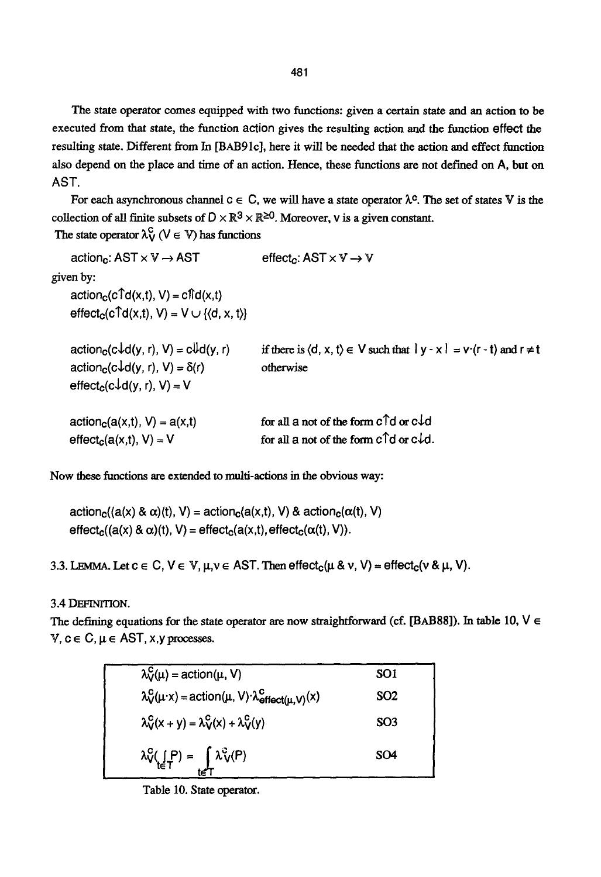The state operator comes equipped with two functions: given a certain state and an action to be executed from that state, the function action gives the resulting action and the function effect the resulting state. Different from In [BAB91c], here it will be needed that the action and effect function also depend on the place and time of an action. Hence, these functions are not defined on A, but on AST.

For each asynchronous channel  $c \in C$ , we will have a state operator  $\lambda^c$ . The set of states V is the collection of all finite subsets of  $D \times \mathbb{R}^3 \times \mathbb{R}^{\geq 0}$ . Moreover, v is a given constant.

The state operator  $\lambda_V^C$  ( $V \in V$ ) has functions

| action <sub>c</sub> : $AST \times V \rightarrow AST$                                      | effect.: $AST \times V \rightarrow V$                                                            |
|-------------------------------------------------------------------------------------------|--------------------------------------------------------------------------------------------------|
| given by:                                                                                 |                                                                                                  |
| $actionc(cTd(x,t), V) = cTd(x,t)$                                                         |                                                                                                  |
| effect <sub>c</sub> (c <sup><math>\uparrow</math></sup> d(x,t), V) = V $\cup$ {(d, x, t)} |                                                                                                  |
| $actionc(c\downarrow d(y, r), V) = c \downarrow d(y, r)$                                  | if there is $\langle d, x, t \rangle \in V$ such that $ y - x  = v \cdot (r - t)$ and $r \neq t$ |
| $actionc(c†d(y, r), V) = \delta(r)$                                                       | otherwise                                                                                        |
| $effect_c(c\downarrow d(y, r), V) = V$                                                    |                                                                                                  |
| $action_c(a(x,t), V) = a(x,t)$                                                            | for all a not of the form $c \uparrow d$ or $c \downarrow d$                                     |
| $effect_c(a(x,t), V) = V$                                                                 | for all a not of the form $c \uparrow d$ or $c \downarrow d$ .                                   |

Now these functions are extended to multi-actions in the obvious way:

 $action_c((a(x) & \alpha)(t), V) = action_c(a(x,t), V) & action_c(\alpha(t), V)$  $effect_{c}((a(x) & \alpha)(t), V) = effect_{c}(a(x,t), effect_{c}(\alpha(t), V)).$ 

3.3. LEMMA. Let  $c \in C$ ,  $V \in V$ ,  $\mu, \nu \in AST$ . Then  $effect_c(\mu \& v, V) = effect_c(v \& \mu, V)$ .

# 3.4 DEFINITION.

The defining equations for the state operator are now straightforward (cf. [BAB88]). In table 10,  $V \in$ V,  $c \in C$ ,  $\mu \in AST$ , x, y processes.

| $\lambda_V^C(\mu)$ = action( $\mu$ , V)                                                     | SO <sub>1</sub> |
|---------------------------------------------------------------------------------------------|-----------------|
| $\lambda_V^C(\mu \cdot x)$ = action( $\mu$ , V) $\cdot \lambda_{\text{effect}(\mu,V)}^C(x)$ | SO <sub>2</sub> |
| $\lambda_V^{\rm C}(x + y) = \lambda_V^{\rm C}(x) + \lambda_V^{\rm C}(y)$                    | SO <sub>3</sub> |
| $\lambda_V^C(\bigcap_{t \in T} P) = \bigcap_{t \in T} \lambda_V^C(P)$                       | SO <sub>4</sub> |

Table 10. State operator.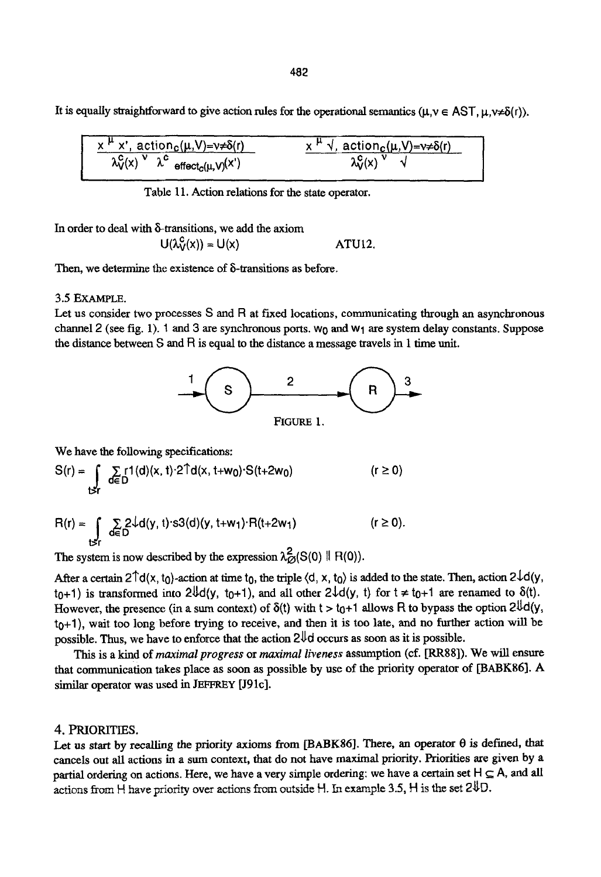It is equally straightforward to give action rules for the operational semantics ( $\mu, \nu \in \text{AST}, \mu, \nu \neq \delta(r)$ ).

| $x^{\mu}$ x', action <sub>c</sub> ( $\mu$ , V)= $\nu \neq \delta(r)$                                | ™ √, <u>action<sub>c</sub>(</u> μ,V)=ν≠δ(r) |
|-----------------------------------------------------------------------------------------------------|---------------------------------------------|
| $\lambda v(x)$<br>$\check{\phantom{a}}$ effect $_c(\mu, \mathsf{V})^{(\mathsf{X}')}$<br>$\lambda$ . |                                             |
|                                                                                                     |                                             |

Table 11. Action relations for the state operator.

In order to deal with  $\delta$ -transitions, we add the axiom

$$
U(\lambda_V^C(x)) = U(x) \qquad \qquad \text{ATU12.}
$$

Then, we determine the existence of  $\delta$ -transitions as before.

### 3.5 EXAMPLE.

Let us consider two processes  $S$  and  $R$  at fixed locations, communicating through an asynchronous channel 2 (see fig. 1). 1 and 3 are synchronous ports,  $w_0$  and  $w_1$  are system delay constants. Suppose the distance between S and R is equal to the distance a message travels in 1 time unit.



We have the following specifications:

$$
S(r) = \int_{\text{t} > r} \sum_{d \in D} r1(d)(x, t) \cdot 2 \hat{T}d(x, t + w_0) \cdot S(t + 2w_0) \qquad (r \ge 0)
$$

$$
R(r) = \int_{\mathsf{t} \leq r} \sum_{d \in D} 2\sqrt{d}(y, t) \cdot s3(d)(y, t+w_1) \cdot R(t+2w_1) \qquad (r \geq 0).
$$

The system is now described by the expression  $\lambda^2_{\mathcal{O}}(S(0) \parallel R(0))$ .

After a certain  $2 \text{d}(x, t_0)$ -action at time  $t_0$ , the triple  $\langle d, x, t_0 \rangle$  is added to the state. Then, action  $2 \text{d}(y, t_0)$ t<sub>0</sub>+1) is transformed into  $2\frac{1}{4}d(y, t_0+1)$ , and all other  $2\frac{1}{4}(y, t)$  for  $t \neq t_0+1$  are renamed to  $\delta(t)$ . However, the presence (in a sum context) of  $\delta(t)$  with  $t > t_0+1$  allows R to bypass the option  $2^{lf}d(y,$  $t<sub>0</sub>+1$ , wait too long before trying to receive, and then it is too late, and no further action will be possible. Thus, we have to enforce that the action  $2\sqrt{d}$  occurs as soon as it is possible.

This is a kind of *maximal progress* or *maximal liveness* assumption (el. [RR88]). We will ensure that comrntmication takes place as soon as possible by use of the priority operator of [BABK86]. A similar operator was used in JEFFREY [J91c].

#### 4. PRIORITIES.

Let us start by recalling the priority axioms from [BABK86]. There, an operator  $\theta$  is defined, that cancels out all actions in a sum context, that do not have maximal priority. Priorities are given by a partial ordering on actions. Here, we have a very simple ordering: we have a certain set  $H \subseteq A$ , and all actions from H have priority over actions from outside H. In example 3.5, H is the set  $2VD$ .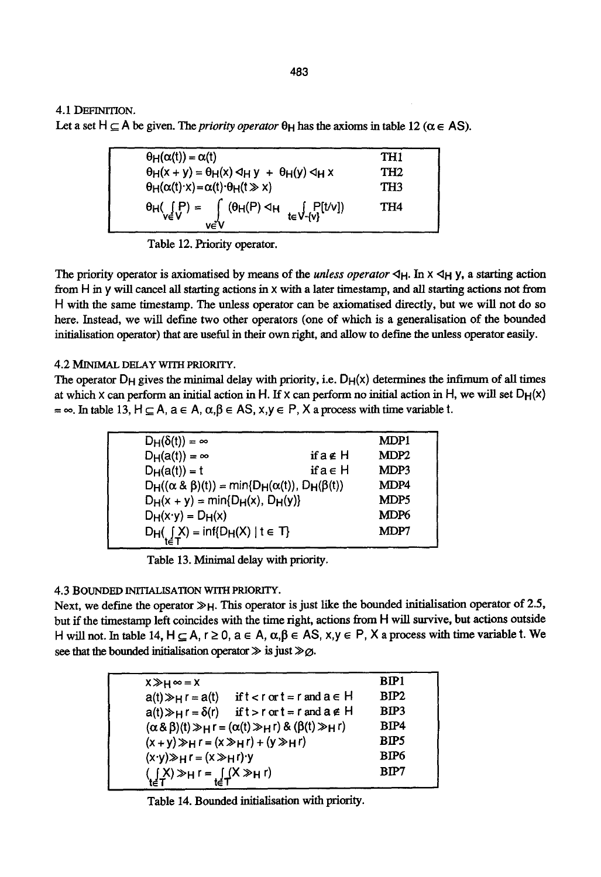4.1 DEFINITION.

Let a set H  $\subseteq$  A be given. The *priority operator*  $\theta$ <sub>H</sub> has the axioms in table 12 ( $\alpha \in AS$ ).

| $\theta_H(\alpha(t)) = \alpha(t)$                                                                                                                                                                                                                                                                                            | TH <sub>1</sub> |  |
|------------------------------------------------------------------------------------------------------------------------------------------------------------------------------------------------------------------------------------------------------------------------------------------------------------------------------|-----------------|--|
| $\theta_H(x + y) = \theta_H(x) \triangleleft_H y + \theta_H(y) \triangleleft_H x$                                                                                                                                                                                                                                            | TH <sub>2</sub> |  |
| $\theta_H(\alpha(t) \cdot x) = \alpha(t) \cdot \theta_H(t \gg x)$                                                                                                                                                                                                                                                            | TH <sub>3</sub> |  |
| $\theta_{\mathsf{H}}(\mathop{\mathsf{F}}_{\mathsf{ve}}\mathop{\mathsf{F}}) = \int\limits_{\mathsf{ve} \mathsf{V}} (\theta_{\mathsf{H}}(\mathsf{P}) \triangleleft_{\mathsf{H}} \mathop{\mathsf{E}}_{\mathsf{te}} \mathop{\mathsf{V}}_{\mathsf{e}}[\mathop{\mathsf{F}}_{\mathsf{V}}[\mathop{\mathsf{t}} \mathop{\mathsf{V}}])$ | TH4             |  |

Table 12. Priority operator.

The priority operator is axiomatised by means of the *unless operator*  $\triangleleft$ H. In  $\times$   $\triangleleft$ H Y, a starting action from H in y will cancel all starting actions in x with a later timestamp, and all starting actions not from H with the same timestamp. The unless operator can be axiomatised directly, but we will not do so here. Instead, we will define two other operators (one of which is a generalisation of the bounded initialisation operator) that are useful in their own right, and allow to define the unless operator easily.

### 4.2 MINIMAL DELAY WITH PRIORITY.

The operator  $D_H$  gives the minimal delay with priority, i.e.  $D_H(x)$  determines the infimum of all times at which x can perform an initial action in H. If x can perform no initial action in H, we will set  $D_H(x)$  $=\infty$ . In table 13, H  $\subseteq A$ ,  $a \in A$ ,  $\alpha, \beta \in AS$ ,  $x,y \in P$ , X a process with time variable t.

| $D_H(\delta(t)) = \infty$                                          |        | MDP1             |
|--------------------------------------------------------------------|--------|------------------|
| $D_H(a(t)) = \infty$                                               | ifa∉ H | MDP <sub>2</sub> |
| $D_H(a(t)) = t$                                                    | ifa∈H  | MDP3             |
| $D_H((\alpha \& \beta)(t)) = min\{D_H(\alpha(t)), D_H(\beta(t))\}$ |        | MDP4             |
| $D_H(x + y) = min{D_H(x), D_H(y)}$                                 |        | MDP <sub>5</sub> |
| $D_H(x \cdot y) = D_H(x)$                                          |        | MDP6             |
| $D_H(\underline{f}X) = \inf\{D_H(X) \mid t \in T\}$                |        | MDP7             |
|                                                                    |        |                  |

Table 13. Minimal delay with priority.

# 4.3 BOUNDED INITIALISATION WITH PRIORITY.

Next, we define the operator  $\gg_H$ . This operator is just like the bounded initialisation operator of 2.5, but if the timestamp left coincides with the time right, actions from H will survive, but actions outside H will not. In table 14,  $H \subseteq A$ ,  $r \ge 0$ ,  $a \in A$ ,  $\alpha, \beta \in AS$ ,  $x,y \in P$ , X a process with time variable t. We see that the bounded initialisation operator  $\gg$  is just  $\gg \varnothing$ .

| $X \gg H \infty = X$                                                       | BIP1             |
|----------------------------------------------------------------------------|------------------|
| $a(t) \gg H r = a(t)$<br>if $t < r$ or $t = r$ and $a \in H$               | BIP <sub>2</sub> |
| $a(t) \gg_H r = \delta(r)$ if $t > r$ or $t = r$ and $a \notin H$          | BIP3             |
| $(\alpha \& \beta)(t) \gg_H r = (\alpha(t) \gg_H r) \& (\beta(t) \gg_H r)$ | BIP4             |
| $(x+y)$ $Hr = (x \rightarrow Hr) + (y \rightarrow Hr)$                     | BIP5             |
| $(x \cdot y) \gg_H r = (x \gg_H r) \cdot y$                                | BIP <sub>6</sub> |
| $\left(\iint_{t \in T} X \gg H r = \iint_{t \in T} (X \gg H r)$            | BIP7             |
|                                                                            |                  |

Table 14. Bounded initialisation with priority.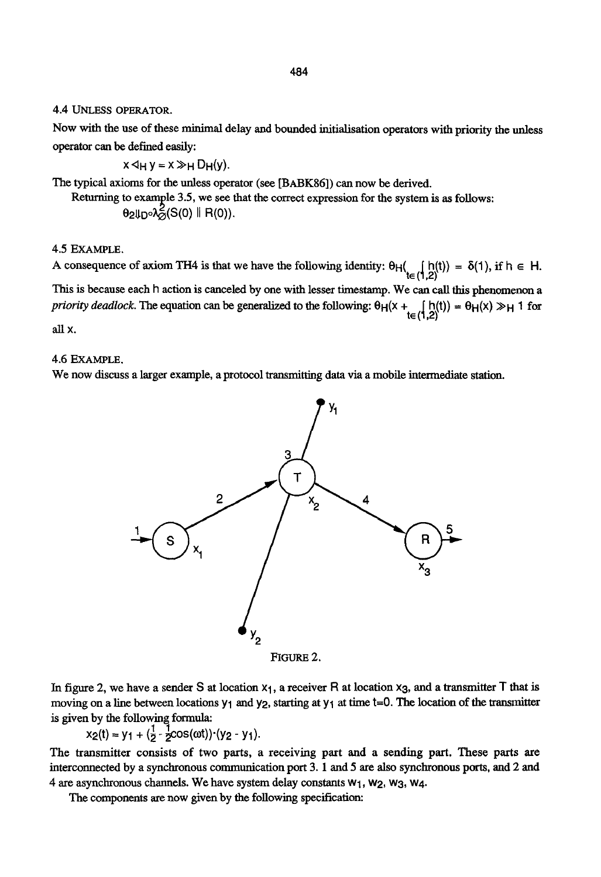4.4 UNLESS OPERATOR.

Now with the use of these minimal delay and bounded inifialisation operators with priority the unless operator can be defined easily:

 $x \triangleleft H y = x \gg H D H(y).$ 

The typical axioms for the unless operator (see [BABK86]) can now be derived.

Returning to example 3.5, we see that the correct expression for the system is as follows:  $\theta_2\psi_D\circ\lambda^2_G(S(0)$  || R(0)).

#### 4.5 EXAMPLE.

A consequence of axiom TH4 is that we have the following identity:  $\theta_H(\begin{bmatrix} h(t) \\ t \end{bmatrix} = \delta(1)$ , if  $h \in H$ .

This is because each h action is canceled by one with lesser timestamp. We can call this phenomenon a *priority deadlock*. The equation can be generalized to the following:  $\theta_H(x + \theta_H(x)) = \theta_H(x) \gg_H 1$  for

all x.

# 4.6 EXAMPLE.

We now discuss a larger example, a protocol transmitting data via a mobile intermediate station.



FIGURE 2.

In figure 2, we have a sender S at location  $x_1$ , a receiver R at location  $x_3$ , and a transmitter T that is moving on a line between locations  $y_1$  and  $y_2$ , starting at  $y_1$  at time t=0. The location of the transmitter is given by the following formula:

 $x_2(t) = y_1 + (y_2 - y_1)$ .

The transmitter consists of two parts, a receiving part and a sending part. These parts are interconnected by a synchronous communication port 3.1 and 5 are also synchronous ports, and 2 and 4 are asynchronous channels. We have system delay constants  $w_1$ ,  $w_2$ ,  $w_3$ ,  $w_4$ .

The components are now given by the following specification: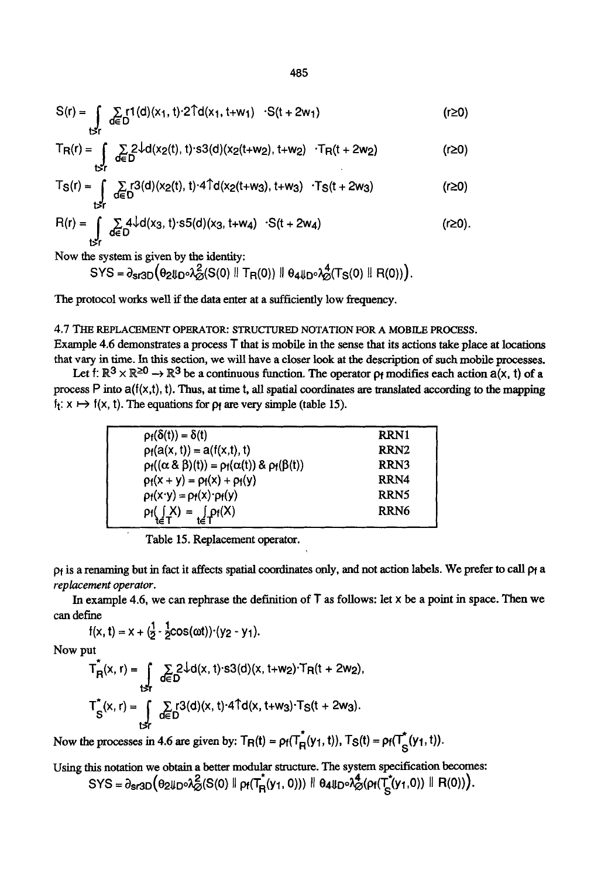$$
S(r) = \int_{\text{t} > r} \sum_{d \in D} r1(d)(x_1, t) \cdot 2 \hat{T}d(x_1, t + w_1) \cdot S(t + 2w_1)
$$
 (r \ge 0)

$$
T_{\mathsf{R}}(r) = \int_{\mathsf{R}_r} \sum_{d \in D} 2\sqrt{d(x_2(t), t) \cdot s3(d)} (x_2(t+w_2), t+w_2) \cdot T_{\mathsf{R}}(t+2w_2) \tag{r \ge 0}
$$

$$
T_S(r) = \int_{t \ge r} \sum_{d \in D} r^3(d) (x_2(t), t) \cdot 4 \hat{T} d(x_2(t+w_3), t+w_3) \cdot T_S(t + 2w_3)
$$
 (r \ge 0)

$$
R(r) = \int_{\substack{t \leq r \\ t \leq r}} \sum_{d \in D} 4\sqrt{d(x_3, t) \cdot s} 5(d)(x_3, t + w_4) \cdot S(t + 2w_4)
$$
 (r \geq 0).

Now the system is given by the identity:

$$
SYS = \partial_{s13D} \big( \theta_{2} \text{tr}_0 \lambda_{\varnothing}^2(S(0) \parallel T_{R}(0)) \parallel \theta_{4} \text{tr}_0 \lambda_{\varnothing}^4(T_{S}(0) \parallel R(0)) \big).
$$

The protocol works well if the data enter at a sufficiently low frequency.

# **4.7** TIIE REPLACEMENT OPERATOR: STRUCTURED NOTATION FOR A MOBILE PROCESS.

Example 4.6 demonstrates a process T that is mobile in the sense that its actions take place at locations that vary in time. In this section, we will have a closer look at the description of such mobile processes.

Let f:  $\mathbb{R}^3 \times \mathbb{R}^{\geq 0} \to \mathbb{R}^3$  be a continuous function. The operator  $\rho_f$  modifies each action  $a(x, t)$  of a process P into  $a(f(x,t), t)$ . Thus, at time t, all spatial coordinates are translated according to the mapping  $f_1$ :  $x \mapsto f(x, t)$ . The equations for  $p_1$  are very simple (table 15).

| $\rho_f(\delta(t)) = \delta(t)$                                        | RRN1             |
|------------------------------------------------------------------------|------------------|
| $p_f(a(x, t)) = a(f(x, t), t)$                                         | RRN <sub>2</sub> |
| $\rho_f((\alpha \& \beta)(t)) = \rho_f(\alpha(t)) \& \rho_f(\beta(t))$ | RRN3             |
| $p_f(x + y) = p_f(x) + p_f(y)$                                         | RRN4             |
| $p_f(x \cdot y) = p_f(x) \cdot p_f(y)$                                 | RRN5             |
| $\rho_f(\int_{-}^{}X) = \int_{\Gamma} \rho_f(X)$                       | RRN6             |
|                                                                        |                  |

Table 15. Replacement operator.

pf is a renaming but in fact it affects spatial coordinates only, and not action labels. We prefer to call pf a *replacement operator.* 

In example 4.6, we can rephrase the definition of  $T$  as follows: let  $x$  be a point in space. Then we can define

$$
f(x, t) = x + (\frac{1}{2} \cdot \frac{1}{2} \cos(\omega t)) \cdot (y_2 - y_1).
$$

Now put

$$
T_{R}^{*}(x, r) = \int_{\substack{t \leq r \\ S}} \sum_{d \in D} 2 \cdot \frac{1}{d} d(x, t) \cdot s3(d)(x, t + w_{2}) \cdot T_{R}(t + 2w_{2}),
$$
  

$$
T_{S}^{*}(x, r) = \int_{\substack{t \leq r \\ t \leq D}} \sum_{d \in D} r3(d)(x, t) \cdot 4 \cdot T_{d}(x, t + w_{3}) \cdot T_{S}(t + 2w_{3}).
$$

Now the processes in 4.6 are given by:  $T_R(t) = \rho_f(T_R^*(y_1, t))$ ,  $T_S(t) = \rho_f(T_S^*(y_1, t))$ .

Using this notation we obtain a better modular structure. The system specification becomes:  $\text{SYS} = \partial_{\text{ST3D}} \big( \theta_2 \text{U}_D \cdot \lambda_{\varnothing}^2 (\text{S}(0) \parallel \rho_f(T_R^*(y_1, 0))) \parallel \theta_4 \text{U}_D \cdot \lambda_{\varnothing}^4 (\rho_f(T_S^*(y_1, 0)) \parallel \text{R}(0)) \big).$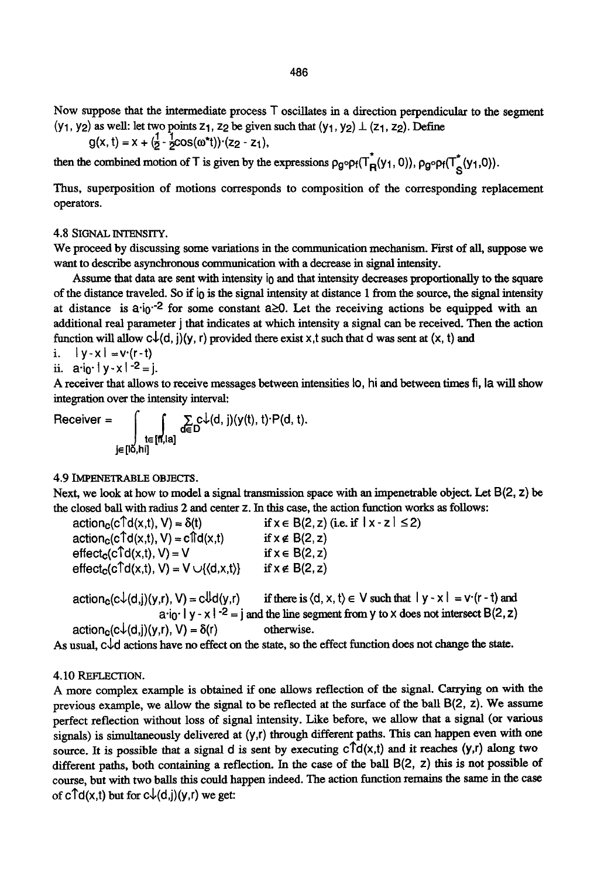Now suppose that the intermediate process T oscillates in a direction perpendicular to the segment (Y<sub>1</sub>, Y<sub>2</sub>) as well: let two points  $z_1$ ,  $z_2$  be given such that (Y<sub>1</sub>, Y<sub>2</sub>)  $\perp$  ( $z_1$ ,  $z_2$ ). Define

$$
g(x, t) = x + (\frac{1}{2} - \frac{1}{2}cos(\omega^*t)) \cdot (z_2 - z_1),
$$

then the combined motion of T is given by the expressions  $\rho_g \circ \rho_f(T_R^*(y_1, 0))$ ,  $\rho_g \circ \rho_f(T_A^*(y_1, 0))$ .

Thus, superposition of motions corresponds to composition of the corresponding replacement operators.

#### 4.8 SIGNAL INTENSITY.

We proceed by discussing some variations in the communication mechanism. First of all, suppose we want to describe asynchronous communication with a decrease in signal intensity.

Assume that data are sent with intensity  $\mathbf{i}_0$  and that intensity decreases proportionally to the square of the distance traveled. So if i0 is the signal intensity at distance 1 from the source, the signal intensity at distance is  $a_i$  <sup>-2</sup> for some constant  $a \ge 0$ . Let the receiving actions be equipped with an additional real parameter j that indicates at which intensity a signal can be received. Then the action function will allow  $c\downarrow(d, j)(y, r)$  provided there exist x,t such that d was sent at  $(x, t)$  and

i.  $|y-x| = v(r-t)$ 

ii.  $a \cdot i \cdot |v - x|^{-2} = i$ .

A receiver that allows to receive messages between intensities Io, hi and between times fi, la will show integration over the intensity interval:

Receiver =  $\int \int_{t \in [m,|\alpha]} \sum_{d \in D} c \downarrow(d, j) \langle y(t), t \rangle \cdot P(d, t).$ jE[Io,hi]

#### 4.9 IMPENETRABLE OBJECTS.

Next, we look at how to model a signal transmission space with an impenetrable object. Let  $B(2, z)$  be the closed bali with radius 2 and center z. In this case, the action function works as follows:

| $actionc(c†d(x,t), V) = \delta(t)$                                           | if $x \in B(2, z)$ (i.e. if $ x - z  \le 2$ ) |
|------------------------------------------------------------------------------|-----------------------------------------------|
| $actionc(c†d(x,t), V) = c†id(x,t)$                                           | if $x \notin B(2, z)$                         |
| $effectc(c†d(x,t), V) = V$                                                   | if $x \in B(2, z)$                            |
| $effect_c(c \hat{\mathsf{Td}}(x,t), V) = V \cup \{\langle d, x, t \rangle\}$ | if $x \notin B(2, z)$                         |

 $action_c(c\downarrow(d,j)(y,r), V) = c\downarrow d(y,r)$  if there is  $\langle d, x, t \rangle \in V$  such that  $|y - x| = v(r - t)$  and  $a_i_0$  | y - x | -2 = j and the line segment from y to x does not intersect B(2, z)  $action_c(c\downarrow(d,j)(y,r), V) = \delta(r)$  otherwise.

As usual,  $c\sqrt{d}$  actions have no effect on the state, so the effect function does not change the state.

#### 4.10 REFLECTION.

A more complex example is obtained if one allows reflection of the signal. Carrying on with the previous example, we allow the signal to be reflected at the surface of the ball B(2, z). We assume perfect reflection without loss of signal intensity. Like before, we allow that a signal (or various signals) is simultaneously delivered at  $(y, r)$  through different paths. This can happen even with one source. It is possible that a signal d is sent by executing  $c \hat{\mathsf{T}} d(x,t)$  and it reaches  $(y,r)$  along two different paths, both containing a reflection. In the case of the ball B(2, z) this is not possible of course, but with two balls this could happen indeed. The action function remains the same in the case of  $c \uparrow d(x,t)$  but for  $c \downarrow(d,j)(y,r)$  we get: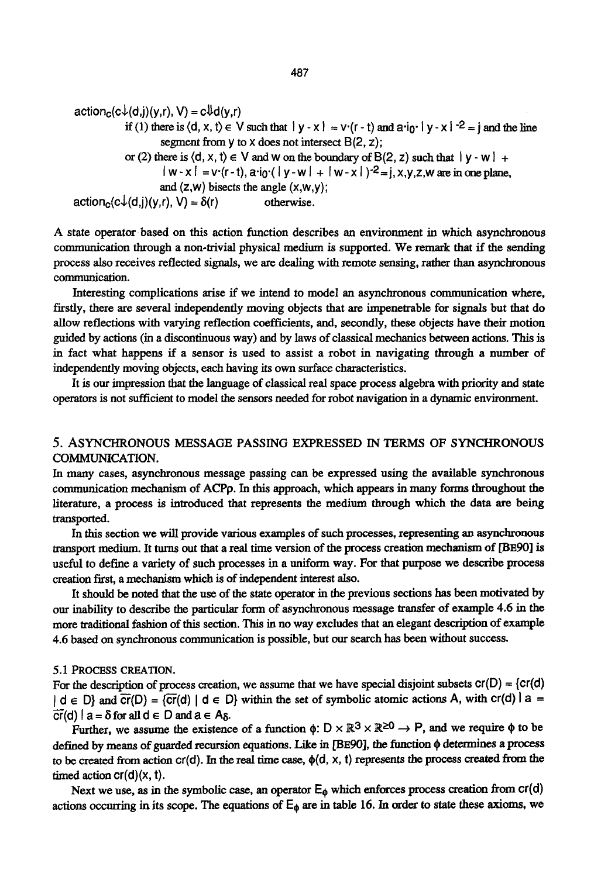$action_c(c\downarrow(d,i)(y,r), V) = c\downarrow d(y,r)$ if (1) there is  $\langle d, x, t \rangle \in V$  such that  $|y-x| = v(r-t)$  and  $a^T \cdot v - x$ .  $\zeta^2 = i$  and the line segment from  $\vee$  to  $\vee$  does not intersect  $B(2, z)$ ; or (2) there is  $\langle d, x, t \rangle \in V$  and w on the boundary of B(2, z) such that  $|v - w| +$  $|w-x| = v(r-t)$ ,  $a^{-1}o(|y-w| + |w-x|)^{-2} = i$ ,  $x,y,z,w$  are in one plane, and  $(z,w)$  bisects the angle  $(x,w,y)$ ;  $action<sub>c</sub>(c<sup>1</sup>(d,j)(y,r), V) = \delta(r)$  otherwise.

A state operator based on this action function describes an environment in which asynchronous communication through a non-trivial physical medium is supported. We remark that if the sending process also receives reflected signals, we are dealing with remote sensing, rather than asynchronous communication.

Interesting complications arise if we intend to model an asynchronous communication where, firstly, there are several independently moving objects that are impenetrable for signals but that do allow reflections with varying reflection coefficients, and, secondly, these objects have their motion guided by actions (in a discontinuous way) and by laws of classical mechanics between actions. This is in fact what happens if a sensor is used to assist a robot in navigating through a number of independently moving objects, each having its own surface characteristics.

It is our impression that the language of classical real space process algebra with priority and state operators is not sufficient to model the sensors needed for robot navigation in a dynamic environment.

# 5. ASYNCHRONOUS MESSAGE PASSING EXPRESSED IN TERMS OF SYNCHRONOUS COMMUNICATION.

In many cases, asynchronous message passing can be expressed using the available synchronous communication mechanism of ACPp. In this approach, which appears in many forms throughout the literature, a process is introduced that represents the medium through which the data are being transported.

In this section we will provide various examples of such processes, representing an asynchronous transport medium. It turns out that a real time version of the process creation mechanism of [BE90] is useful to define a variety of such processes in a uniform way. For that purpose we describe process creation first, a mechanism which is of independent interest also.

It should be noted that the use of the state operator in the previous sections has been motivated by our inability to describe the particular form of asynchronous message transfer of example 4.6 in the more traditional fashion of this section. This in no way excludes that an elegant description of example 4.6 based on synchronous communication is possible, but our search has been without success.

### 5.1 PROCESS CREATION.

For the description of process creation, we assume that we have special disjoint subsets  $cr(D) = \{cr(d)$  $| d \in D$ } and  $\overline{cr}(D) = \{\overline{cr}(d) | d \in D\}$  within the set of symbolic atomic actions A, with  $cr(d) | a =$  $\overline{cr}(d)$  | a =  $\delta$  for all  $d \in D$  and  $a \in A_{\delta}$ .

Further, we assume the existence of a function  $\phi: D \times \mathbb{R}^3 \times \mathbb{R}^{\geq 0} \to P$ , and we require  $\phi$  to be defined by means of guarded recursion equations. Like in [BE90], the function  $\phi$  determines a process to be created from action  $cr(d)$ . In the real time case,  $\phi(d, x, t)$  represents the process created from the timed action  $cr(d)(x, t)$ .

Next we use, as in the symbolic case, an operator  $E_{\phi}$  which enforces process creation from cr(d) actions occurring in its scope. The equations of  $E_{\phi}$  are in table 16. In order to state these axioms, we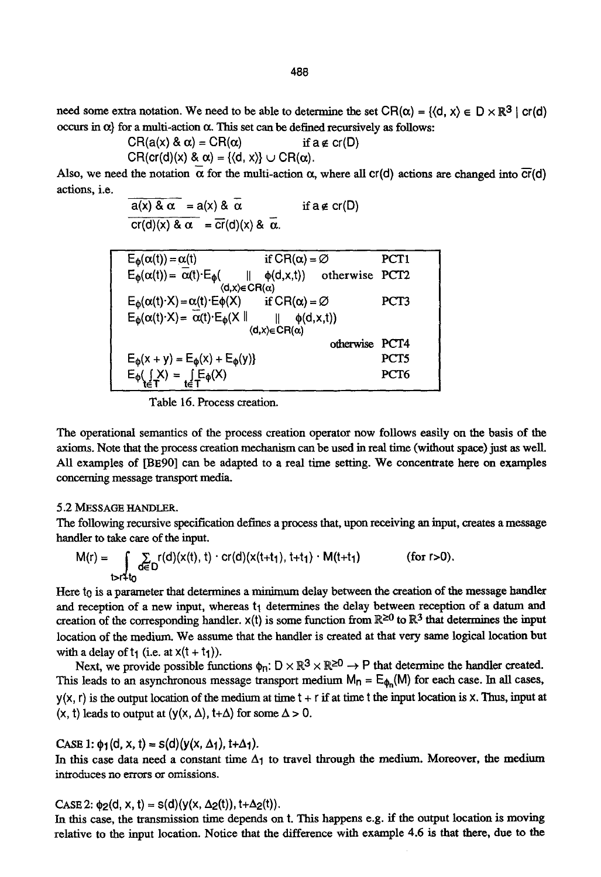$$
CH(a(x) & \alpha) = CH(\alpha) \quad \text{if } a \notin cr(D)
$$
\n
$$
CR(cr(d)(x) & \alpha) = \{ \langle d, x \rangle \} \cup CR(\alpha).
$$

Also, we need the notation  $\alpha$  for the multi-action  $\alpha$ , where all cr(d) actions are changed into  $\overline{cr}(d)$ actions, i.e.

$$
\frac{a(x) & \alpha}{\alpha} = a(x) & \alpha \quad \text{if } a \notin cr(D)
$$
\n
$$
\frac{cr(d)(x) & \alpha}{\alpha} = \frac{cr(d)(x) & \alpha}{\alpha}.
$$

| $E_{\phi}(\alpha(t)) = \alpha(t)$                                                       | if $CR(\alpha) = \emptyset$ |                                | PCT <sub>1</sub> |  |
|-----------------------------------------------------------------------------------------|-----------------------------|--------------------------------|------------------|--|
| $E_{\phi}(\alpha(t)) = \alpha(t) \cdot E_{\phi}$                                        |                             | $\phi(d, x, t)$ otherwise PCT2 |                  |  |
| $\langle d, x \rangle \in CR(\alpha)$                                                   |                             |                                |                  |  |
| $E_{\phi}(\alpha(t) \cdot X) = \alpha(t) \cdot E_{\phi}(X)$ if $CR(\alpha) = \emptyset$ |                             |                                | PCT3             |  |
| $E_{\phi}(\alpha(t) \cdot X) = \overline{\alpha}(t) \cdot E_{\phi}(X \parallel$         | $\phi(d, x, t)$             |                                |                  |  |
|                                                                                         | $(d, x) \in CR(\alpha)$     |                                |                  |  |
|                                                                                         |                             | otherwise PCT4                 |                  |  |
| $E_{\phi}(x + y) = E_{\phi}(x) + E_{\phi}(y)$                                           |                             |                                | PCT <sub>5</sub> |  |
| $E_{\phi}(\iint_T X) = \iint_T E_{\phi}(X)$                                             |                             |                                | PCT6             |  |
|                                                                                         |                             |                                |                  |  |

Table 16. Process creation.

The operational semantics of the process creation operator now follows easily on the basis of the axioms. Note that the process creation mechanism can be used in real time (without space) just as well. All examples of [BE90] can be adapted to a real time setting. We concentrate here on examples concerning message transport media.

#### 5.2 MESSAGE HANDLER.

The following recursive specification defines a process that, upon receiving an input, creates a message handler to take care of the input.

$$
M(r) = \sum_{t>r+tn} \sum_{d \in D} r(d)(x(t), t) \cdot cr(d)(x(t+t_1), t+t_1) \cdot M(t+t_1)
$$
 (for r>0).

Here to is a parameter that determines a minimum delay between the creation of the message handler and reception of a new input, whereas  $t_1$  determines the delay between reception of a datum and creation of the corresponding handler.  $x(t)$  is some function from  $\mathbb{R}^{\geq 0}$  to  $\mathbb{R}^3$  that determines the input location of the medium. We assume that the handler is created at that very same logical location but with a delay of  $t_1$  (i.e. at  $x(t + t_1)$ ).

Next, we provide possible functions  $\phi_n: D \times \mathbb{R}^3 \times \mathbb{R}^{\geq 0} \to P$  that determine the handler created. This leads to an asynchronous message transport medium  $M_n = E_{\phi_n}(M)$  for each case. In all cases,  $y(x, r)$  is the output location of the medium at time  $t + r$  if at time t the input location is x. Thus, input at  $(x, t)$  leads to output at  $(y(x, \Delta), t+\Delta)$  for some  $\Delta > 0$ .

CASE 1:  $\phi_1$ (d, x, t) = s(d)(y(x,  $\Delta_1$ ), t+ $\Delta_1$ ).

In this case data need a constant time  $\Delta_1$  to travel through the medium. Moreover, the medium introduces no errors or omissions.

### $CASE 2: \phi_2(d, x, t) = s(d)(y(x, \Delta_2(t)), t+\Delta_2(t)).$

In this case, the transmission time depends on t. This happens e.g. ff the output location is moving relative to the input location. Notice that the difference with example 4.6 is that there, due to the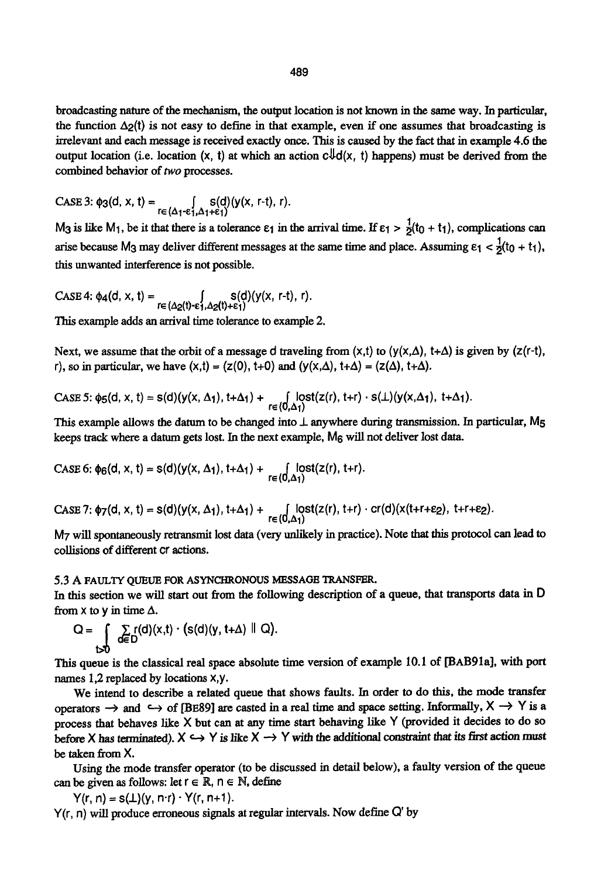broadcasting nature of the mechanism, the output location is not known in the same way. In particular, the function  $\Delta$ <sub>2</sub>(t) is not easy to define in that example, even if one assumes that broadcasting is irrelevant and each message is received exactly once. This is caused by the fact that in example 4.6 the output location (i.e. location (x, t) at which an action  $c\mathbb{U}d(x, t)$  happens) must be derived from the combined behavior of two processes.

CASE 3: 
$$
\phi_3(d, x, t) = \int_{r \in (\Delta_1 - \varepsilon_1^f, \Delta_1 + \varepsilon_1^f)} s(d)(y(x, r-t), r).
$$

M<sub>3</sub> is like M<sub>1</sub>, be it that there is a tolerance  $\varepsilon_1$  in the arrival time. If  $\varepsilon_1 > \frac{1}{2}(t_0 + t_1)$ , complications can arise because M<sub>3</sub> may deliver different messages at the same time and place. Assuming  $\epsilon_1 < \frac{1}{2}(t_0 + t_1)$ , this unwanted interference is not possible.

 $CASE 4: \phi_4(d, x, t) = \int_{r \in (\Delta_2(t) - \varepsilon_1, \Delta_2(t) + \varepsilon_1)} s(d)(y(x, r-t), r).$ 

This example adds an arrival time tolerance to example 2.

Next, we assume that the orbit of a message d traveling from  $(x,t)$  to  $(y(x,\Delta), t+\Delta)$  is given by (z(r-t), r), so in particular, we have  $(x,t) = (z(0), t+0)$  and  $(y(x,\Delta), t+\Delta) = (z(\Delta), t+\Delta)$ .

CASE 5:  $\phi_5(d, x, t) = s(d)(y(x, \Delta_1), t+\Delta_1) + \int_{r \in (0, \Delta_1)} \int_{r \in (0, \Delta_1)} \phi_1(x(r), t+r) \cdot s(\bot)(y(x, \Delta_1), t+\Delta_1).$ 

This example allows the datum to be changed into  $\perp$  anywhere during transmission. In particular, M<sub>5</sub> keeps track where a datum gets lost. In the next example, M6 will not deliver lost data.

CASE 6: 
$$
\phi_6(d, x, t) = s(d)(y(x, \Delta_1), t + \Delta_1) + \int_{r \in (0, \Delta_1)} \text{lost}(z(r), t + r).
$$

 $\text{CASE 7: } \phi_7(\text{d, x, t}) = s(\text{d})(y(x, \Delta_1), t+\Delta_1) + \int_{\text{re}} \text{(0, \Delta_1)} \text{lost}(z(\text{r}), t+\text{r}) \cdot \text{cr}(\text{d})(x(t+\text{r}+\epsilon_2), t+\text{r}+\epsilon_2).$ 

M7 will spontaneously retransmit lost data (very unlikely in practice). Note that this protocol can lead to collisions of different cr actions.

# 5.3 A FAULTY QUEUE FOR ASYNCHRONOUS MESSAGE TRANSFER.

In this section we will start out from the following description of a queue, that transports data in D from  $x$  to  $y$  in time  $\Delta$ .

$$
Q = \int_{b>0} \sum_{d \in D} r(d)(x,t) \cdot (s(d)(y, t+\Delta) \parallel Q).
$$

This queue is the classical real space absolute time version of example I0.I of [BAB91a], with port names 1,2 replaced by locations x,y.

We intend to describe a related queue that shows faults. In order to do this, the mode transfer operators  $\rightarrow$  and  $\hookrightarrow$  of [BE89] are casted in a real time and space setting. Informally,  $X \rightarrow Y$  is a process that behaves like X but can at any time start behaving like Y (provided it decides to do so before X has terminated).  $X \hookrightarrow Y$  is like  $X \rightarrow Y$  with the additional constraint that its first action must be taken from X.

Using the mode transfer operator (to be discussed in detail below), a faulty version of the queue can be given as follows: let  $r \in \mathbb{R}$ ,  $n \in \mathbb{N}$ , define

 $Y(r, n) = S(\perp)(y, n \cdot r) \cdot Y(r, n+1).$ 

Y(r, n) will produce erroneous signals at regular intervals. Now define O' by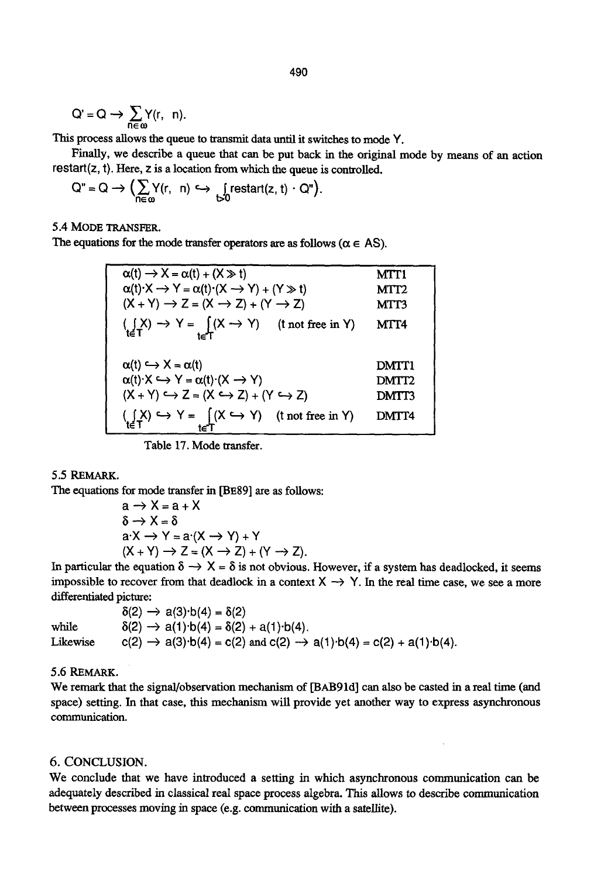$$
Q'=Q\,\to\,\sum_{n\in\,\omega}\!\!Y(r,\ n).
$$

This process allows the queue to transmit data until it switches to mode Y.

Finally, we describe a queue that can be put back in the original mode by means of an action restart $(z, t)$ . Here,  $z$  is a location from which the queue is controlled.

$$
Q'' = Q \longrightarrow \Big( \sum_{n \in \omega} Y(r, n) \hookrightarrow \int_{D} \text{restart}(z, t) \cdot Q'' \Big).
$$

5.4 MODE TRANSFER.

The equations for the mode transfer operators are as follows ( $\alpha \in AS$ ).

| $\alpha(t) \rightarrow X = \alpha(t) + (X \gg t)$<br>$\alpha(t) \cdot X \rightarrow Y = \alpha(t) \cdot (X \rightarrow Y) + (Y \gg t)$<br>$(X + Y) \rightarrow Z = (X \rightarrow Z) + (Y \rightarrow Z)$ | MTT1<br>MTT2<br>MTT3 |
|-----------------------------------------------------------------------------------------------------------------------------------------------------------------------------------------------------------|----------------------|
| $\left(\underset{\mathbf{t}\in\mathsf{T}}{\left\{X\right\}}\right)\rightarrow Y=\underset{\mathbf{t}\in\mathsf{T}}{\left\{X\rightarrow Y\right\}}$ (t not free in Y)                                      | MTT4                 |
| $\alpha(t) \hookrightarrow X = \alpha(t)$                                                                                                                                                                 | <b>DMTT1</b>         |
| $\alpha(t) \cdot X \hookrightarrow Y = \alpha(t) \cdot (X \rightarrow Y)$                                                                                                                                 | DMTT <sub>2</sub>    |
| $(X + Y) \hookrightarrow Z = (X \hookrightarrow Z) + (Y \hookrightarrow Z)$                                                                                                                               | <b>DMTT3</b>         |
| $\left(\bigcup_{t \in T} X\right) \hookrightarrow Y = \bigcup_{t \in T} (X \hookrightarrow Y)$ (t not free in Y)                                                                                          | DMTT4                |

Table 17. Mode tzansfer.

# 5.5 REMARK.

The equations for mode transfer in [BE89] are as follows:

$$
a \rightarrow X = a + X
$$
  
\n
$$
\delta \rightarrow X = \delta
$$
  
\n
$$
a \cdot X \rightarrow Y = a \cdot (X \rightarrow Y) + Y
$$
  
\n
$$
(X + Y) \rightarrow Z = (X \rightarrow Z) + (Y \rightarrow Z).
$$

In particular the equation  $\delta \to X = \delta$  is not obvious. However, if a system has deadlocked, it seems impossible to recover from that deadlock in a context  $X \rightarrow Y$ . In the real time case, we see a more differentiated picture:

|          | $\delta(2) \rightarrow a(3) \cdot b(4) = \delta(2)$                                                         |
|----------|-------------------------------------------------------------------------------------------------------------|
| while    | $\delta(2) \rightarrow a(1) \cdot b(4) = \delta(2) + a(1) \cdot b(4)$ .                                     |
| Likewise | $c(2) \rightarrow a(3) \cdot b(4) = c(2)$ and $c(2) \rightarrow a(1) \cdot b(4) = c(2) + a(1) \cdot b(4)$ . |

# 5.6 REMARK.

We remark that the signal/observation mechanism of [BAB91d] can also be casted in a real time (and space) setting. In that case, this mechanism will provide yet another way to express asynchronous communication.

# 6. CONCLUSION.

We conclude that we have introduced a setting in which asynchronous communication can be adequately described in classical real space process algebra. This allows to describe communication between processes moving in space (e.g. communication with a satellite).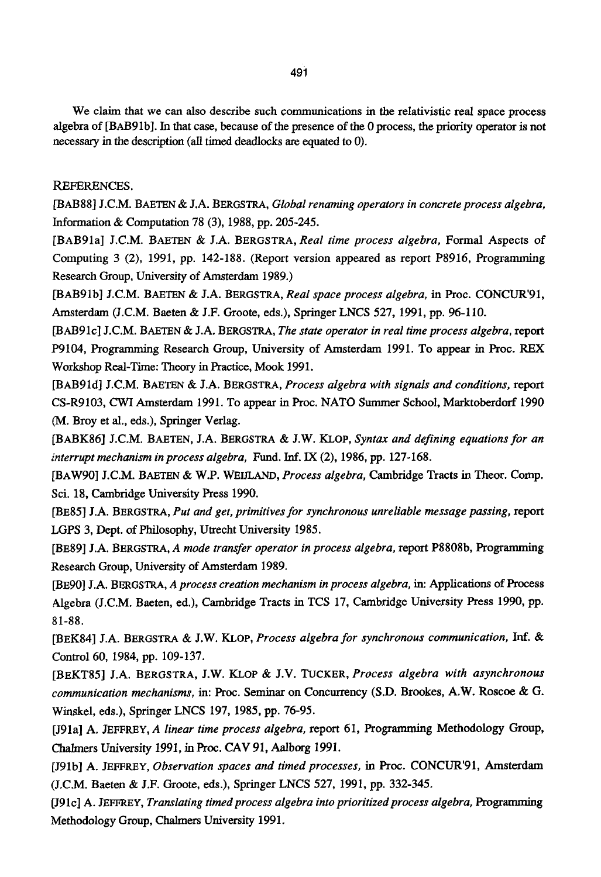We claim that we can also describe such communications in the relativistic real space process algebra of [BAB91b]. In that case, because of the presence of the 0 process, the priority operator is not necessary in the description (all timed deadlocks are equated to 0).

# REFERENCES.

[BAB88] J.C.M. BAETEN & J.A. BERGSTRA, *Global renaming operators in concrete process algebra,*  Information & Computation 78 (3), 1988, pp. 205-245.

[BAB91a] J.C.M. BAETEN & J.A. BERGSTRA, *Real time process algebra,* Formal Aspects of Computing 3 (2), 1991, pp. 142-188. (Report version appeared as report P8916, Programming Research Group, University of Amsterdam 1989,)

[BAB91b] J.C.M. BAETEN & J.A. BERGSTRA, *Real space process algebra, in* Proc. CONCUR'91, Amsterdam (J.C.M. Baeten & J.F. Groote, eds.), Springer LNCS 527, 1991, pp. 96-110.

[BAB91c] J.C.M. BAETEN & J.A. BERGSTRA, *The state operator in real time process algebra,* report P9104, Programming Research Group, University of Amsterdam 1991. To appear in Proc. REX Workshop Real-Time: Theory in Practice, Mook 1991.

[BAB91d] J.C.M. BAETEN & J.A. BERGSTRA, *Process algebra with signals and conditions,* report CS-R9103, CWI Amsterdam 1991. To appear in Proc. NATO Summer School, Marktoberdorf 1990 (M. Broy et al., eds.), Springer Verlag.

[BABK86] LC.M. BAETEN, J.A. BERGSTRA & J.W. KLOP, *Syntax and defining equations for an interrupt mechanism in process algebra,* Fund. Inf. IX (2), 1986, pp. 127-168.

[BAW90] J.C.M. BAETEN & W.P. WEIILAND, *Process algebra,* Cambridge Tracts in Theor. Comp. Sci. 18, Cambridge University Press 1990.

[BE85] J.A. BERGSTRA, *Put and get, primitives for synchronous unreliable message passing,* report LGPS 3, Dept. of Philosophy, Utrecht University 1985.

[BE89] J.A. BERGSTRA, *A mode transfer operator in process algebra,* report P8808b, Programming Research Group, University of Amsterdam 1989.

[BE90] J.A. BERGSTRA, *A process creation mechanism in process algebra,* in: Applications of Process Algebra (J.C.M. Baeten, ed.), Cambridge Tracts in TCS 17, Cambridge University Press 1990, pp. 81-88.

[BEK84] J.A. BERGSTRA & J.W. KLOP, *Process algebra for synchronous communication, Inf. &*  Control 60, 1984, pp. 109-137.

[BEKT85] J.A. BERGSTRA, J.W. KLOP & J.V. *TUCKER, Process algebra with asynchronous communication mechanisms,* in: Proc. Seminar on Concurrency (S.D. Brookes, A.W. Roscoe & G. Winskel, eds.), Springer LNCS 197, 1985, pp. 76-95.

[J91a] A. JEFFREY, *A linear time process algebra,* report 61, Programming Methodology Group, Chalmers University 1991, in Proc. CAV 91, Aalborg 1991.

[J91b] A. JEFFREY, *Observation spaces and timed processes, in* Proc. CONCUR'91, Amsterdam (J.C.M. Baeten & J.F. Groote, eds.), Springer LNCS 527, 1991, pp. 332-345.

[J91c] A. JEFFREY, *Translating timed process algebra into prioritized process algebra*, Programming Methodology Group, Chalmers University 1991.